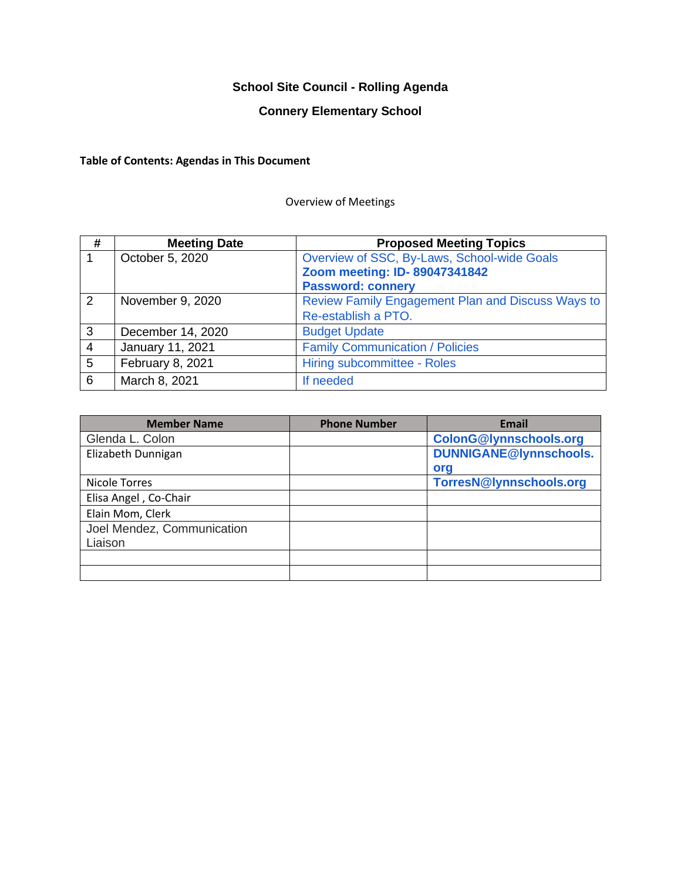# **School Site Council - Rolling Agenda**

# **Connery Elementary School**

# **Table of Contents: Agendas in This Document**

## Overview of Meetings

| #               | <b>Meeting Date</b> | <b>Proposed Meeting Topics</b>                    |
|-----------------|---------------------|---------------------------------------------------|
|                 | October 5, 2020     | Overview of SSC, By-Laws, School-wide Goals       |
|                 |                     | Zoom meeting: ID-89047341842                      |
|                 |                     | <b>Password: connery</b>                          |
| 2               | November 9, 2020    | Review Family Engagement Plan and Discuss Ways to |
|                 |                     | Re-establish a PTO.                               |
| 3               | December 14, 2020   | <b>Budget Update</b>                              |
| $\overline{4}$  | January 11, 2021    | <b>Family Communication / Policies</b>            |
| $5\overline{)}$ | February 8, 2021    | Hiring subcommittee - Roles                       |
| 6               | March 8, 2021       | If needed                                         |

| <b>Member Name</b>         | <b>Phone Number</b> | <b>Email</b>                  |
|----------------------------|---------------------|-------------------------------|
| Glenda L. Colon            |                     | <b>ColonG@lynnschools.org</b> |
| Elizabeth Dunnigan         |                     | <b>DUNNIGANE@lynnschools.</b> |
|                            |                     | org                           |
| Nicole Torres              |                     | TorresN@lynnschools.org       |
| Elisa Angel, Co-Chair      |                     |                               |
| Elain Mom, Clerk           |                     |                               |
| Joel Mendez, Communication |                     |                               |
| Liaison                    |                     |                               |
|                            |                     |                               |
|                            |                     |                               |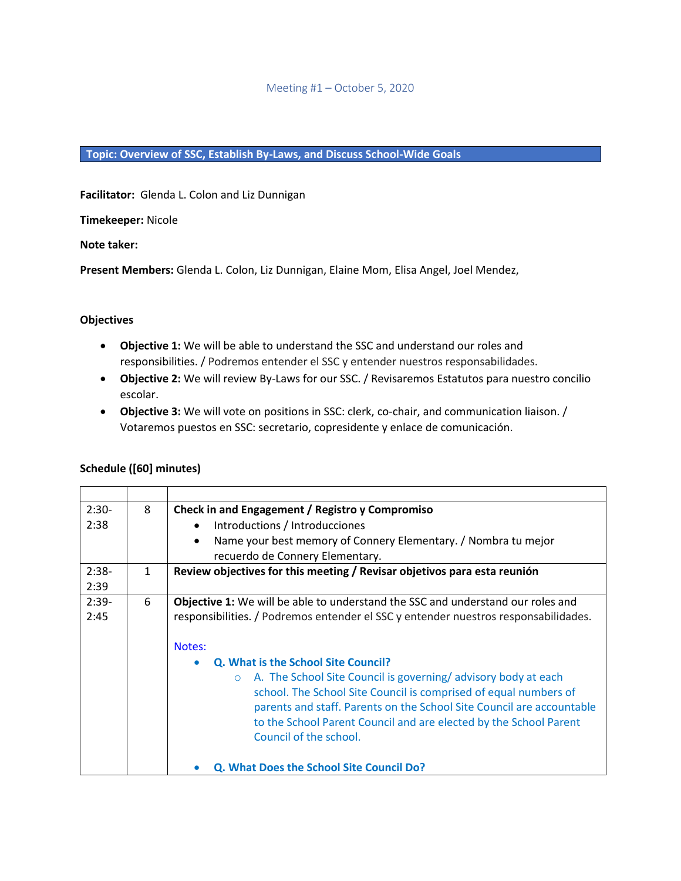#### Meeting #1 – October 5, 2020

## **Topic: Overview of SSC, Establish By-Laws, and Discuss School-Wide Goals**

**Facilitator:** Glenda L. Colon and Liz Dunnigan

**Timekeeper:** Nicole

**Note taker:**

**Present Members:** Glenda L. Colon, Liz Dunnigan, Elaine Mom, Elisa Angel, Joel Mendez,

## **Objectives**

- **Objective 1:** We will be able to understand the SSC and understand our roles and responsibilities. / Podremos entender el SSC y entender nuestros responsabilidades.
- **Objective 2:** We will review By-Laws for our SSC. / Revisaremos Estatutos para nuestro concilio escolar.
- **Objective 3:** We will vote on positions in SSC: clerk, co-chair, and communication liaison. / Votaremos puestos en SSC: secretario, copresidente y enlace de comunicación.

| $2:30-$ | 8            | Check in and Engagement / Registro y Compromiso                                        |  |
|---------|--------------|----------------------------------------------------------------------------------------|--|
| 2:38    |              | Introductions / Introducciones<br>$\bullet$                                            |  |
|         |              | Name your best memory of Connery Elementary. / Nombra tu mejor<br>$\bullet$            |  |
|         |              | recuerdo de Connery Elementary.                                                        |  |
| $2:38-$ | $\mathbf{1}$ | Review objectives for this meeting / Revisar objetivos para esta reunión               |  |
| 2:39    |              |                                                                                        |  |
| $2:39-$ | 6            | <b>Objective 1:</b> We will be able to understand the SSC and understand our roles and |  |
| 2:45    |              | responsibilities. / Podremos entender el SSC y entender nuestros responsabilidades.    |  |
|         |              |                                                                                        |  |
|         |              | Notes:                                                                                 |  |
|         |              | Q. What is the School Site Council?<br>$\bullet$                                       |  |
|         |              | A. The School Site Council is governing/advisory body at each<br>$\circ$               |  |
|         |              | school. The School Site Council is comprised of equal numbers of                       |  |
|         |              | parents and staff. Parents on the School Site Council are accountable                  |  |
|         |              | to the School Parent Council and are elected by the School Parent                      |  |
|         |              | Council of the school.                                                                 |  |
|         |              |                                                                                        |  |
|         |              | <b>Q. What Does the School Site Council Do?</b>                                        |  |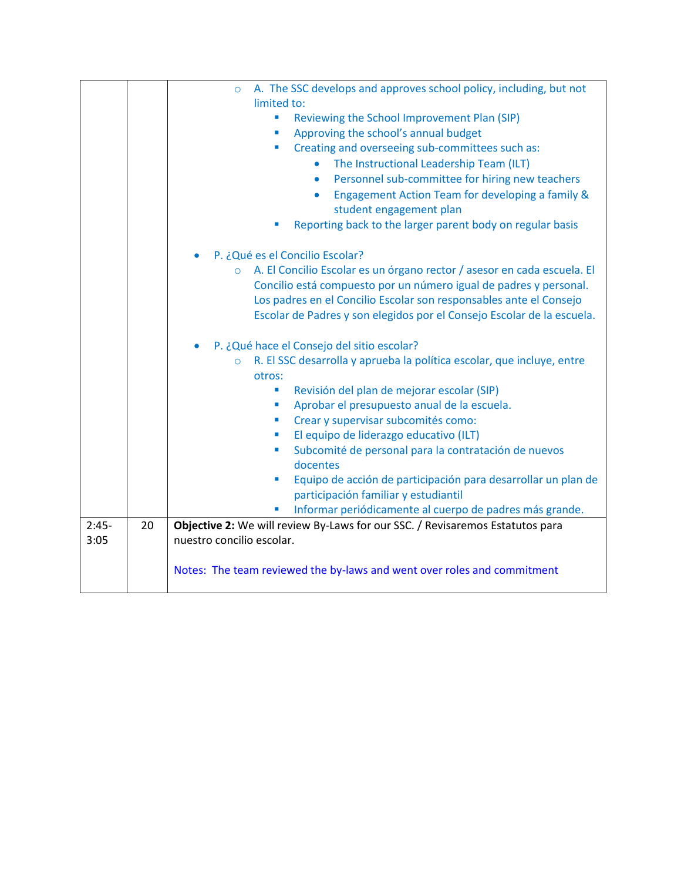|         |    | A. The SSC develops and approves school policy, including, but not<br>$\circ$                |
|---------|----|----------------------------------------------------------------------------------------------|
|         |    | limited to:                                                                                  |
|         |    | Reviewing the School Improvement Plan (SIP)<br>$\blacksquare$                                |
|         |    | Approving the school's annual budget<br>×                                                    |
|         |    | Creating and overseeing sub-committees such as:<br>×                                         |
|         |    | The Instructional Leadership Team (ILT)<br>$\bullet$                                         |
|         |    | Personnel sub-committee for hiring new teachers<br>$\bullet$                                 |
|         |    | Engagement Action Team for developing a family &<br>$\bullet$                                |
|         |    | student engagement plan                                                                      |
|         |    | Reporting back to the larger parent body on regular basis                                    |
|         |    |                                                                                              |
|         |    | P. ¿Qué es el Concilio Escolar?                                                              |
|         |    | A. El Concilio Escolar es un órgano rector / asesor en cada escuela. El<br>$\circ$           |
|         |    | Concilio está compuesto por un número igual de padres y personal.                            |
|         |    | Los padres en el Concilio Escolar son responsables ante el Consejo                           |
|         |    | Escolar de Padres y son elegidos por el Consejo Escolar de la escuela.                       |
|         |    | P. ¿Qué hace el Consejo del sitio escolar?<br>$\bullet$                                      |
|         |    | R. El SSC desarrolla y aprueba la política escolar, que incluye, entre<br>$\circ$            |
|         |    | otros:                                                                                       |
|         |    | Revisión del plan de mejorar escolar (SIP)<br>×                                              |
|         |    | Aprobar el presupuesto anual de la escuela.<br>$\overline{\phantom{a}}$                      |
|         |    | Crear y supervisar subcomités como:<br>×                                                     |
|         |    | El equipo de liderazgo educativo (ILT)<br>×                                                  |
|         |    | Subcomité de personal para la contratación de nuevos<br>×                                    |
|         |    | docentes                                                                                     |
|         |    | Equipo de acción de participación para desarrollar un plan de<br>$\mathcal{L}_{\mathcal{A}}$ |
|         |    | participación familiar y estudiantil                                                         |
|         |    | Informar periódicamente al cuerpo de padres más grande.                                      |
| $2:45-$ | 20 | Objective 2: We will review By-Laws for our SSC. / Revisaremos Estatutos para                |
| 3:05    |    | nuestro concilio escolar.                                                                    |
|         |    |                                                                                              |
|         |    | Notes: The team reviewed the by-laws and went over roles and commitment                      |
|         |    |                                                                                              |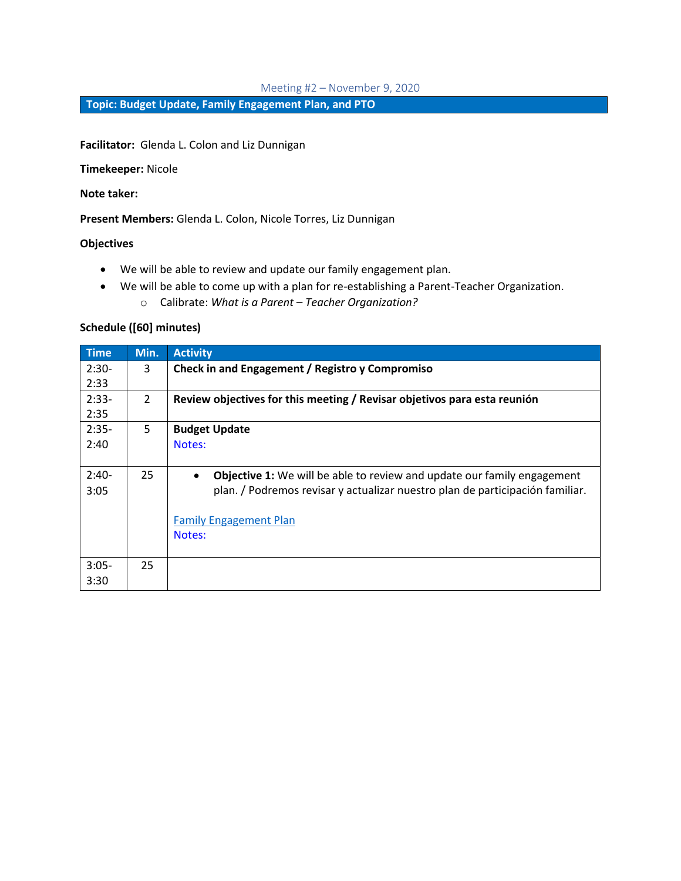#### Meeting #2 – November 9, 2020

**Topic: Budget Update, Family Engagement Plan, and PTO**

**Facilitator:** Glenda L. Colon and Liz Dunnigan

**Timekeeper:** Nicole

**Note taker:**

**Present Members:** Glenda L. Colon, Nicole Torres, Liz Dunnigan

#### **Objectives**

- We will be able to review and update our family engagement plan.
- We will be able to come up with a plan for re-establishing a Parent-Teacher Organization.
	- o Calibrate: *What is a Parent – Teacher Organization?*

| <b>Time</b> | Min.          | <b>Activity</b>                                                                             |
|-------------|---------------|---------------------------------------------------------------------------------------------|
| $2:30-$     | 3             | Check in and Engagement / Registro y Compromiso                                             |
| 2:33        |               |                                                                                             |
| $2:33-$     | $\mathcal{L}$ | Review objectives for this meeting / Revisar objetivos para esta reunión                    |
| 2:35        |               |                                                                                             |
| $2:35-$     | 5             | <b>Budget Update</b>                                                                        |
| 2:40        |               | Notes:                                                                                      |
|             |               |                                                                                             |
| $2:40-$     | 25            | <b>Objective 1:</b> We will be able to review and update our family engagement<br>$\bullet$ |
| 3:05        |               | plan. / Podremos revisar y actualizar nuestro plan de participación familiar.               |
|             |               |                                                                                             |
|             |               | Family Engagement Plan                                                                      |
|             |               | Notes:                                                                                      |
|             |               |                                                                                             |
| $3:05-$     | 25            |                                                                                             |
| 3:30        |               |                                                                                             |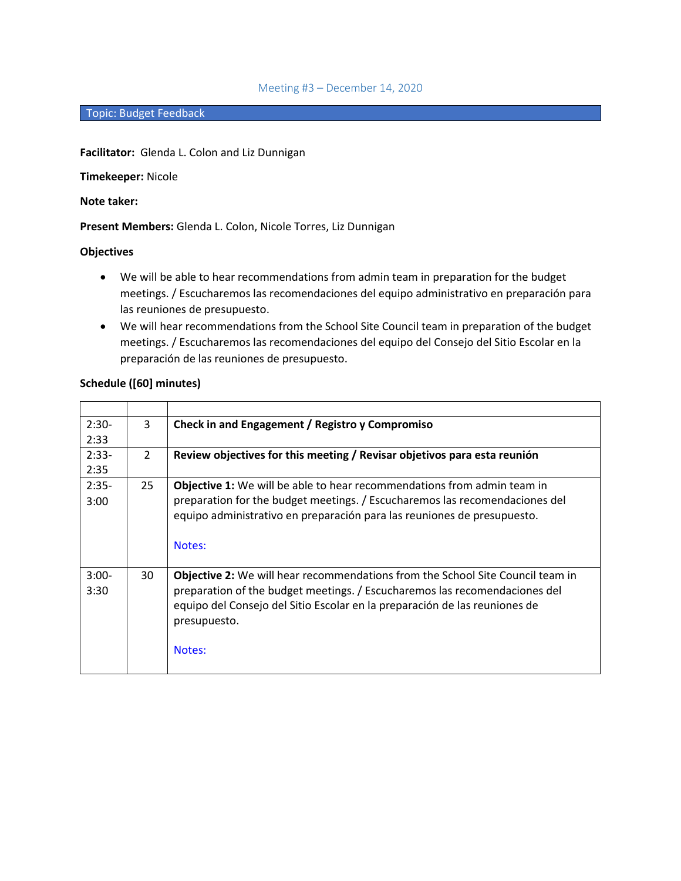#### Meeting #3 – December 14, 2020

#### Topic: Budget Feedback

#### **Facilitator:** Glenda L. Colon and Liz Dunnigan

#### **Timekeeper:** Nicole

## **Note taker:**

## **Present Members:** Glenda L. Colon, Nicole Torres, Liz Dunnigan

## **Objectives**

- We will be able to hear recommendations from admin team in preparation for the budget meetings. / Escucharemos las recomendaciones del equipo administrativo en preparación para las reuniones de presupuesto.
- We will hear recommendations from the School Site Council team in preparation of the budget meetings. / Escucharemos las recomendaciones del equipo del Consejo del Sitio Escolar en la preparación de las reuniones de presupuesto.

| Schedule ([60] minutes) |  |
|-------------------------|--|
|-------------------------|--|

| $2:30-$ | 3              | Check in and Engagement / Registro y Compromiso                                                                                                                                    |
|---------|----------------|------------------------------------------------------------------------------------------------------------------------------------------------------------------------------------|
| 2:33    |                |                                                                                                                                                                                    |
| $2:33-$ | $\overline{2}$ | Review objectives for this meeting / Revisar objetivos para esta reunión                                                                                                           |
| 2:35    |                |                                                                                                                                                                                    |
| $2:35-$ | 25             | Objective 1: We will be able to hear recommendations from admin team in                                                                                                            |
| 3:00    |                | preparation for the budget meetings. / Escucharemos las recomendaciones del<br>equipo administrativo en preparación para las reuniones de presupuesto.                             |
|         |                | Notes:                                                                                                                                                                             |
| $3:00-$ | 30             | Objective 2: We will hear recommendations from the School Site Council team in                                                                                                     |
| 3:30    |                | preparation of the budget meetings. / Escucharemos las recomendaciones del<br>equipo del Consejo del Sitio Escolar en la preparación de las reuniones de<br>presupuesto.<br>Notes: |
|         |                |                                                                                                                                                                                    |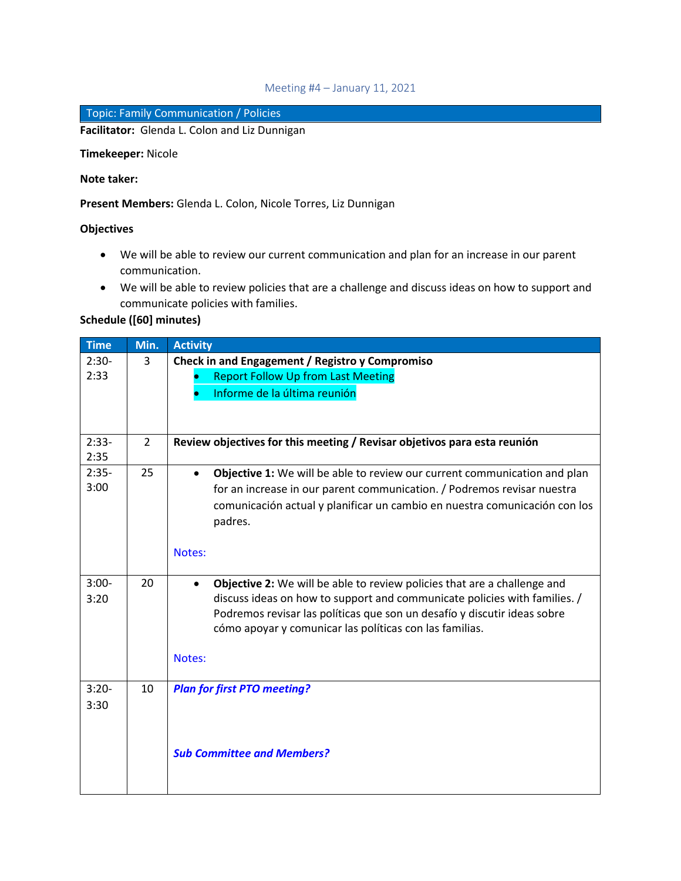## Meeting #4 – January 11, 2021

## Topic: Family Communication / Policies

**Facilitator:** Glenda L. Colon and Liz Dunnigan

**Timekeeper:** Nicole

## **Note taker:**

**Present Members:** Glenda L. Colon, Nicole Torres, Liz Dunnigan

## **Objectives**

- We will be able to review our current communication and plan for an increase in our parent communication.
- We will be able to review policies that are a challenge and discuss ideas on how to support and communicate policies with families.

| <b>Time</b> | Min.           | <b>Activity</b>                                                                              |
|-------------|----------------|----------------------------------------------------------------------------------------------|
| $2:30-$     | 3              | Check in and Engagement / Registro y Compromiso                                              |
| 2:33        |                | <b>Report Follow Up from Last Meeting</b>                                                    |
|             |                | Informe de la última reunión                                                                 |
|             |                |                                                                                              |
|             |                |                                                                                              |
| $2:33-$     | $\overline{2}$ | Review objectives for this meeting / Revisar objetivos para esta reunión                     |
| 2:35        |                |                                                                                              |
| $2:35-$     | 25             | <b>Objective 1:</b> We will be able to review our current communication and plan             |
| 3:00        |                | for an increase in our parent communication. / Podremos revisar nuestra                      |
|             |                | comunicación actual y planificar un cambio en nuestra comunicación con los                   |
|             |                | padres.                                                                                      |
|             |                |                                                                                              |
|             |                |                                                                                              |
|             |                | Notes:                                                                                       |
| $3:00-$     | 20             | <b>Objective 2:</b> We will be able to review policies that are a challenge and<br>$\bullet$ |
| 3:20        |                | discuss ideas on how to support and communicate policies with families. /                    |
|             |                | Podremos revisar las políticas que son un desafío y discutir ideas sobre                     |
|             |                | cómo apoyar y comunicar las políticas con las familias.                                      |
|             |                |                                                                                              |
|             |                | Notes:                                                                                       |
|             |                |                                                                                              |
| $3:20-$     | 10             | <b>Plan for first PTO meeting?</b>                                                           |
| 3:30        |                |                                                                                              |
|             |                |                                                                                              |
|             |                |                                                                                              |
|             |                | <b>Sub Committee and Members?</b>                                                            |
|             |                |                                                                                              |
|             |                |                                                                                              |
|             |                |                                                                                              |